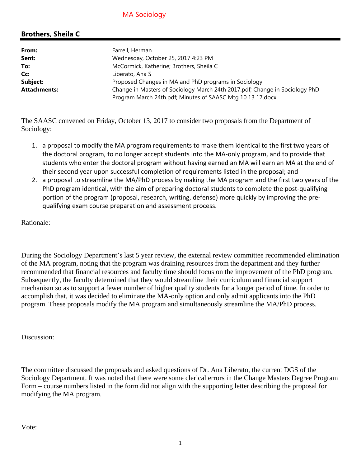# MA Sociology

## **Brothers, Sheila C**

| From:               | Farrell, Herman                                                             |  |  |
|---------------------|-----------------------------------------------------------------------------|--|--|
| Sent:               | Wednesday, October 25, 2017 4:23 PM                                         |  |  |
| To:                 | McCormick, Katherine; Brothers, Sheila C                                    |  |  |
| Cc:                 | Liberato, Ana S                                                             |  |  |
| Subject:            | Proposed Changes in MA and PhD programs in Sociology                        |  |  |
| <b>Attachments:</b> | Change in Masters of Sociology March 24th 2017.pdf; Change in Sociology PhD |  |  |
|                     | Program March 24th.pdf; Minutes of SAASC Mtg 10 13 17.docx                  |  |  |

The SAASC convened on Friday, October 13, 2017 to consider two proposals from the Department of Sociology:

- 1. a proposal to modify the MA program requirements to make them identical to the first two years of the doctoral program, to no longer accept students into the MA‐only program, and to provide that students who enter the doctoral program without having earned an MA will earn an MA at the end of their second year upon successful completion of requirements listed in the proposal; and
- 2. a proposal to streamline the MA/PhD process by making the MA program and the first two years of the PhD program identical, with the aim of preparing doctoral students to complete the post-qualifying portion of the program (proposal, research, writing, defense) more quickly by improving the prequalifying exam course preparation and assessment process.

Rationale:

During the Sociology Department's last 5 year review, the external review committee recommended elimination of the MA program, noting that the program was draining resources from the department and they further recommended that financial resources and faculty time should focus on the improvement of the PhD program. Subsequently, the faculty determined that they would streamline their curriculum and financial support mechanism so as to support a fewer number of higher quality students for a longer period of time. In order to accomplish that, it was decided to eliminate the MA-only option and only admit applicants into the PhD program. These proposals modify the MA program and simultaneously streamline the MA/PhD process.

Discussion:

The committee discussed the proposals and asked questions of Dr. Ana Liberato, the current DGS of the Sociology Department. It was noted that there were some clerical errors in the Change Masters Degree Program Form – course numbers listed in the form did not align with the supporting letter describing the proposal for modifying the MA program.

Vote: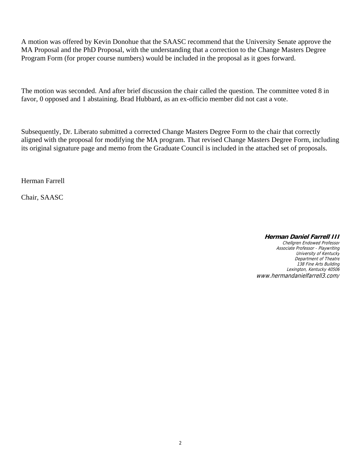A motion was offered by Kevin Donohue that the SAASC recommend that the University Senate approve the MA Proposal and the PhD Proposal, with the understanding that a correction to the Change Masters Degree Program Form (for proper course numbers) would be included in the proposal as it goes forward.

The motion was seconded. And after brief discussion the chair called the question. The committee voted 8 in favor, 0 opposed and 1 abstaining. Brad Hubbard, as an ex-officio member did not cast a vote.

Subsequently, Dr. Liberato submitted a corrected Change Masters Degree Form to the chair that correctly aligned with the proposal for modifying the MA program. That revised Change Masters Degree Form, including its original signature page and memo from the Graduate Council is included in the attached set of proposals.

Herman Farrell

Chair, SAASC

#### **Herman Daniel Farrell III**

Chellgren Endowed Professor Associate Professor - Playwriting University of Kentucky Department of Theatre 138 Fine Arts Building Lexington, Kentucky 40506 www.hermandanielfarrell3.com/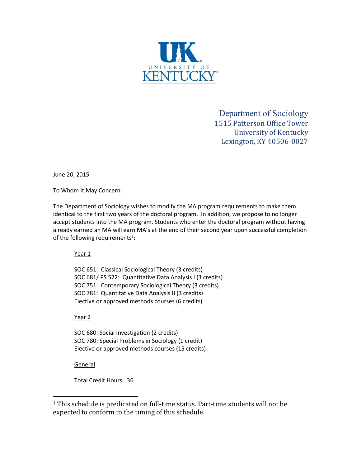

Department of Sociology 1515 Patterson Office Tower University of Kentucky Lexington, KY 40506-0027

June 20, 2015

To Whom It May Concern:

The Department of Sociology wishes to modify the MA program requirements to make them identical to the first two years of the doctoral program. In addition, we propose to no longer accept students into the MA program. Students who enter the doctoral program without having already earned an MA will earn MA's at the end of their second year upon successful completion of the following requirements<sup>1</sup>:

Year 1

SOC 651: Classical Sociological Theory (3 credits) SOC 681/ PS 572: Quantitative Data Analysis I (3 credits) SOC 751: Contemporary Sociological Theory (3 credits) SOC 781: Quantitative Data Analysis II (3 credits) Elective or approved methods courses (6 credits)

Year 2

SOC 680: Social Investigation (2 credits) SOC 780: Special Problems in Sociology (1 credit) Elective or approved methods courses (15 credits)

**General** 

Total Credit Hours: 36

<sup>1</sup> This schedule is predicated on full-time status. Part-time students will not be expected to conform to the timing of this schedule.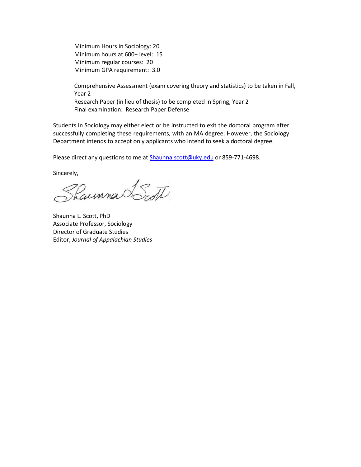Minimum Hours in Sociology: 20 Minimum hours at 600+ level: 15 Minimum regular courses: 20 Minimum GPA requirement: 3.0

Comprehensive Assessment (exam covering theory and statistics) to be taken in Fall, Year 2 Research Paper (in lieu of thesis) to be completed in Spring, Year 2 Final examination: Research Paper Defense

Students in Sociology may either elect or be instructed to exit the doctoral program after successfully completing these requirements, with an MA degree. However, the Sociology Department intends to accept only applicants who intend to seek a doctoral degree.

Please direct any questions to me at Shaunna.scott@uky.edu or 859-771-4698.

Sincerely,

Shaunna Scott

Shaunna L. Scott, PhD Associate Professor, Sociology Director of Graduate Studies Editor, *Journal of Appalachian Studies*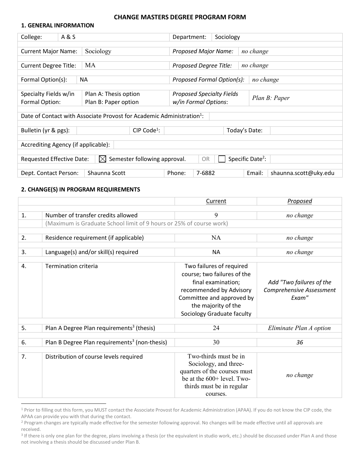#### **CHANGE MASTERS DEGREE PROGRAM FORM**

#### **1. GENERAL INFORMATION**

| College:                                                                                                                      | A & S |                                                                                   | Department:                 |                                  | Sociology                  |               |               |                       |  |
|-------------------------------------------------------------------------------------------------------------------------------|-------|-----------------------------------------------------------------------------------|-----------------------------|----------------------------------|----------------------------|---------------|---------------|-----------------------|--|
|                                                                                                                               |       |                                                                                   |                             |                                  |                            |               |               |                       |  |
| Sociology<br><b>Current Major Name:</b>                                                                                       |       |                                                                                   | <b>Proposed Major Name:</b> |                                  |                            | no change     |               |                       |  |
|                                                                                                                               |       |                                                                                   |                             |                                  |                            |               |               |                       |  |
| <b>Current Degree Title:</b>                                                                                                  |       | MA                                                                                |                             | Proposed Degree Title:           |                            |               | no change     |                       |  |
|                                                                                                                               |       |                                                                                   |                             |                                  |                            |               |               |                       |  |
| Formal Option(s):                                                                                                             |       | <b>NA</b>                                                                         |                             |                                  | Proposed Formal Option(s): |               | no change     |                       |  |
|                                                                                                                               |       |                                                                                   |                             |                                  |                            |               |               |                       |  |
| Specialty Fields w/in                                                                                                         |       | Plan A: Thesis option                                                             |                             | <b>Proposed Specialty Fields</b> |                            |               |               |                       |  |
| Formal Option:                                                                                                                |       | Plan B: Paper option                                                              |                             | w/in Formal Options:             |                            |               | Plan B: Paper |                       |  |
|                                                                                                                               |       |                                                                                   |                             |                                  |                            |               |               |                       |  |
|                                                                                                                               |       | Date of Contact with Associate Provost for Academic Administration <sup>1</sup> : |                             |                                  |                            |               |               |                       |  |
|                                                                                                                               |       |                                                                                   |                             |                                  |                            |               |               |                       |  |
| Bulletin (yr & pgs):                                                                                                          |       | CIP Code <sup>1</sup> :                                                           |                             |                                  |                            | Today's Date: |               |                       |  |
|                                                                                                                               |       |                                                                                   |                             |                                  |                            |               |               |                       |  |
| Accrediting Agency (if applicable):                                                                                           |       |                                                                                   |                             |                                  |                            |               |               |                       |  |
|                                                                                                                               |       |                                                                                   |                             |                                  |                            |               |               |                       |  |
| Specific Date <sup>2</sup> :<br>Semester following approval.<br><b>Requested Effective Date:</b><br><b>OR</b><br>$\mathbb{X}$ |       |                                                                                   |                             |                                  |                            |               |               |                       |  |
|                                                                                                                               |       |                                                                                   |                             |                                  |                            |               |               |                       |  |
| Dept. Contact Person:                                                                                                         |       | Shaunna Scott                                                                     | Phone:                      | 7-6882                           |                            |               | Email:        | shaunna.scott@uky.edu |  |

#### **2. CHANGE(S) IN PROGRAM REQUIREMENTS**

|    |                                                                     | Current                      | Proposed                 |
|----|---------------------------------------------------------------------|------------------------------|--------------------------|
|    |                                                                     |                              |                          |
| 1. | Number of transfer credits allowed                                  | 9                            | no change                |
|    | (Maximum is Graduate School limit of 9 hours or 25% of course work) |                              |                          |
|    |                                                                     |                              |                          |
| 2. | Residence requirement (if applicable)                               | <b>NA</b>                    | no change                |
|    |                                                                     |                              |                          |
| 3. | Language(s) and/or skill(s) required                                | <b>NA</b>                    | no change                |
|    |                                                                     |                              |                          |
| 4. | Termination criteria                                                | Two failures of required     |                          |
|    |                                                                     | course; two failures of the  |                          |
|    |                                                                     | final examination;           | Add "Two failures of the |
|    |                                                                     | recommended by Advisory      | Comprehensive Assessment |
|    |                                                                     | Committee and approved by    | Exam"                    |
|    |                                                                     |                              |                          |
|    |                                                                     | the majority of the          |                          |
|    |                                                                     | Sociology Graduate faculty   |                          |
|    |                                                                     |                              |                          |
| 5. | Plan A Degree Plan requirements <sup>3</sup> (thesis)               | 24                           | Eliminate Plan A option  |
|    |                                                                     |                              |                          |
| 6. | Plan B Degree Plan requirements <sup>3</sup> (non-thesis)           | 30                           | 36                       |
|    |                                                                     |                              |                          |
| 7. | Distribution of course levels required                              | Two-thirds must be in        |                          |
|    |                                                                     | Sociology, and three-        |                          |
|    |                                                                     | quarters of the courses must | no change                |
|    |                                                                     | be at the 600+ level. Two-   |                          |
|    |                                                                     | thirds must be in regular    |                          |
|    |                                                                     | courses.                     |                          |

<sup>1</sup> Prior to filling out this form, you MUST contact the Associate Provost for Academic Administration (APAA). If you do not know the CIP code, the APAA can provide you with that during the contact.

<sup>&</sup>lt;sup>2</sup> Program changes are typically made effective for the semester following approval. No changes will be made effective until all approvals are received.

<sup>&</sup>lt;sup>3</sup> If there is only one plan for the degree, plans involving a thesis (or the equivalent in studio work, etc.) should be discussed under Plan A and those not involving a thesis should be discussed under Plan B.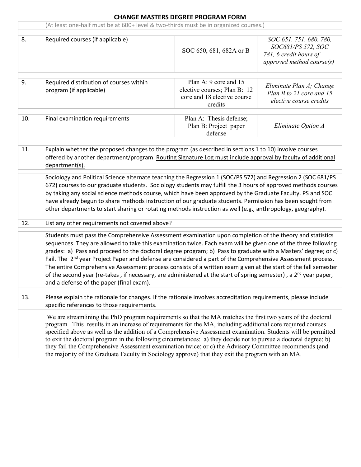### **CHANGE MASTERS DEGREE PROGRAM FORM**

|     | (At least one-half must be at 600+ level & two-thirds must be in organized courses.)                                                                                                                                                                                                                                                                                                                                                                                                                                                                                                                                                                                                                                                                                 |                                                                                                 |                                                                                                      |  |
|-----|----------------------------------------------------------------------------------------------------------------------------------------------------------------------------------------------------------------------------------------------------------------------------------------------------------------------------------------------------------------------------------------------------------------------------------------------------------------------------------------------------------------------------------------------------------------------------------------------------------------------------------------------------------------------------------------------------------------------------------------------------------------------|-------------------------------------------------------------------------------------------------|------------------------------------------------------------------------------------------------------|--|
| 8.  | Required courses (if applicable)                                                                                                                                                                                                                                                                                                                                                                                                                                                                                                                                                                                                                                                                                                                                     | SOC 650, 681, 682A or B                                                                         | SOC 651, 751, 680, 780,<br>SOC681/PS 572, SOC<br>781, 6 credit hours of<br>approved method course(s) |  |
| 9.  | Required distribution of courses within<br>program (if applicable)                                                                                                                                                                                                                                                                                                                                                                                                                                                                                                                                                                                                                                                                                                   | Plan A: 9 core and 15<br>elective courses; Plan B: 12<br>core and 18 elective course<br>credits | Eliminate Plan A; Change<br>Plan B to 21 core and 15<br>elective course credits                      |  |
| 10. | Final examination requirements                                                                                                                                                                                                                                                                                                                                                                                                                                                                                                                                                                                                                                                                                                                                       | Plan A: Thesis defense;<br>Plan B: Project paper<br>defense                                     | Eliminate Option A                                                                                   |  |
| 11. | Explain whether the proposed changes to the program (as described in sections 1 to 10) involve courses<br>offered by another department/program. Routing Signature Log must include approval by faculty of additional<br>department(s).                                                                                                                                                                                                                                                                                                                                                                                                                                                                                                                              |                                                                                                 |                                                                                                      |  |
|     | Sociology and Political Science alternate teaching the Regression 1 (SOC/PS 572) and Regression 2 (SOC 681/PS<br>672) courses to our graduate students. Sociology students may fulfill the 3 hours of approved methods courses<br>by taking any social science methods course, which have been approved by the Graduate Faculty. PS and SOC<br>have already begun to share methods instruction of our graduate students. Permission has been sought from<br>other departments to start sharing or rotating methods instruction as well (e.g., anthropology, geography).                                                                                                                                                                                              |                                                                                                 |                                                                                                      |  |
| 12. | List any other requirements not covered above?                                                                                                                                                                                                                                                                                                                                                                                                                                                                                                                                                                                                                                                                                                                       |                                                                                                 |                                                                                                      |  |
|     | Students must pass the Comprehensive Assessment examination upon completion of the theory and statistics<br>sequences. They are allowed to take this examination twice. Each exam will be given one of the three following<br>grades: a) Pass and proceed to the doctoral degree program; b) Pass to graduate with a Masters' degree; or c)<br>Fail. The 2 <sup>nd</sup> year Project Paper and defense are considered a part of the Comprehensive Assessment process.<br>The entire Comprehensive Assessment process consists of a written exam given at the start of the fall semester<br>of the second year (re-takes, if necessary, are administered at the start of spring semester), a 2 <sup>nd</sup> year paper,<br>and a defense of the paper (final exam). |                                                                                                 |                                                                                                      |  |
| 13. | Please explain the rationale for changes. If the rationale involves accreditation requirements, please include                                                                                                                                                                                                                                                                                                                                                                                                                                                                                                                                                                                                                                                       |                                                                                                 |                                                                                                      |  |
|     | specific references to those requirements.                                                                                                                                                                                                                                                                                                                                                                                                                                                                                                                                                                                                                                                                                                                           |                                                                                                 |                                                                                                      |  |
|     | We are streamlining the PhD program requirements so that the MA matches the first two years of the doctoral<br>program. This results in an increase of requirements for the MA, including additional core required courses<br>specified above as well as the addition of a Comprehensive Assessment examination. Students will be permitted<br>to exit the doctoral program in the following circumstances: a) they decide not to pursue a doctoral degree; b)<br>they fail the Comprehensive Assessment examination twice; or c) the Advisory Committee recommends (and<br>the majority of the Graduate Faculty in Sociology approve) that they exit the program with an MA.                                                                                        |                                                                                                 |                                                                                                      |  |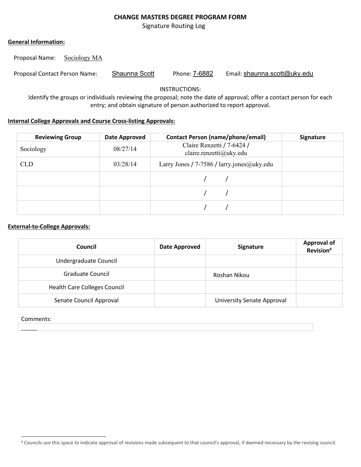#### **CHANGE MASTERS DEGREE PROGRAM FORM**

Signature Routing Log

#### **General Information:**

Proposal Name: Sociology MA

Proposal Contact Person Name: Shaunna Scott Phone: 7-6882 Email: shaunna.scott@uky.edu

INSTRUCTIONS:

Identify the groups or individuals reviewing the proposal; note the date of approval; offer a contact person for each entry; and obtain signature of person authorized to report approval.

#### **Internal College Approvals and Course Cross-listing Approvals:**

| <b>Reviewing Group</b> | Date Approved | <b>Contact Person (name/phone/email)</b>              | <b>Signature</b> |
|------------------------|---------------|-------------------------------------------------------|------------------|
| Sociology              | 08/27/14      | Claire Renzetti / 7-6424 /<br>claire.renzetti@uky.edu |                  |
| <b>CLD</b>             | 03/28/14      | Larry Jones / 7-7586 / larry jones $@$ uky edu        |                  |
|                        |               |                                                       |                  |
|                        |               |                                                       |                  |
|                        |               |                                                       |                  |

#### **External-to-College Approvals:**

| Council                             | <b>Date Approved</b> | Signature                         | <b>Approval of</b><br>Revision <sup>4</sup> |
|-------------------------------------|----------------------|-----------------------------------|---------------------------------------------|
| Undergraduate Council               |                      |                                   |                                             |
| <b>Graduate Council</b>             |                      | Roshan Nikou                      |                                             |
| <b>Health Care Colleges Council</b> |                      |                                   |                                             |
| Senate Council Approval             |                      | <b>University Senate Approval</b> |                                             |

#### Comments:

<sup>4</sup> Councils use this space to indicate approval of revisions made subsequent to that council's approval, if deemed necessary by the revising council.